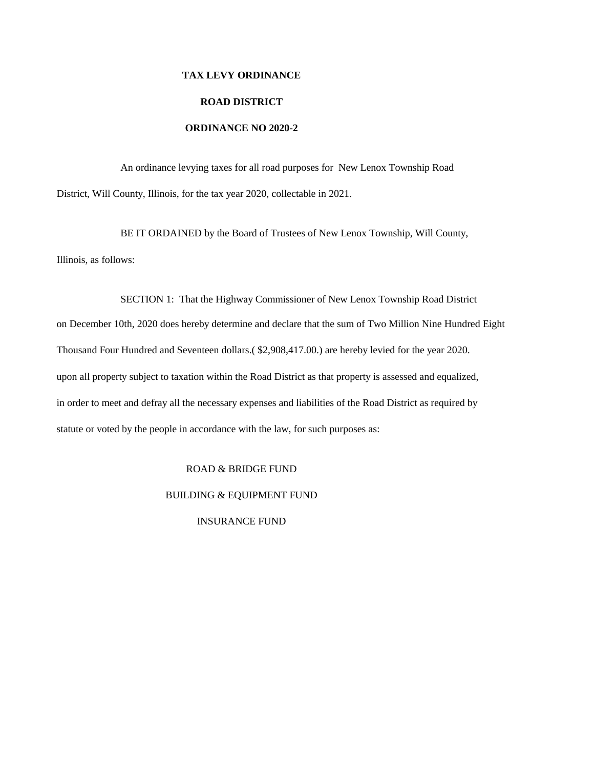# **TAX LEVY ORDINANCE ROAD DISTRICT ORDINANCE NO 2020-2**

An ordinance levying taxes for all road purposes for New Lenox Township Road District, Will County, Illinois, for the tax year 2020, collectable in 2021.

BE IT ORDAINED by the Board of Trustees of New Lenox Township, Will County, Illinois, as follows:

SECTION 1: That the Highway Commissioner of New Lenox Township Road District on December 10th, 2020 does hereby determine and declare that the sum of Two Million Nine Hundred Eight Thousand Four Hundred and Seventeen dollars.( \$2,908,417.00.) are hereby levied for the year 2020. upon all property subject to taxation within the Road District as that property is assessed and equalized, in order to meet and defray all the necessary expenses and liabilities of the Road District as required by statute or voted by the people in accordance with the law, for such purposes as:

## ROAD & BRIDGE FUND

#### BUILDING & EQUIPMENT FUND

INSURANCE FUND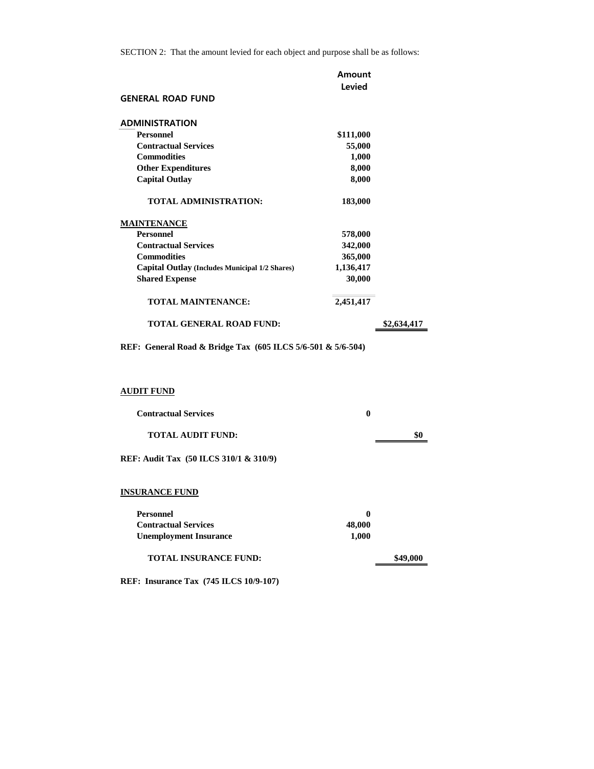|                                                | Amount    |             |
|------------------------------------------------|-----------|-------------|
|                                                | Levied    |             |
| <b>GENERAL ROAD FUND</b>                       |           |             |
| <b>ADMINISTRATION</b>                          |           |             |
| <b>Personnel</b>                               | \$111,000 |             |
| <b>Contractual Services</b>                    | 55,000    |             |
| <b>Commodities</b>                             | 1,000     |             |
| <b>Other Expenditures</b>                      | 8,000     |             |
| <b>Capital Outlay</b>                          | 8,000     |             |
| <b>TOTAL ADMINISTRATION:</b>                   | 183,000   |             |
| <b>MAINTENANCE</b>                             |           |             |
| <b>Personnel</b>                               | 578,000   |             |
| <b>Contractual Services</b>                    | 342,000   |             |
| <b>Commodities</b>                             | 365,000   |             |
| Capital Outlay (Includes Municipal 1/2 Shares) | 1,136,417 |             |
| <b>Shared Expense</b>                          | 30,000    |             |
| <b>TOTAL MAINTENANCE:</b>                      | 2,451,417 |             |
| <b>TOTAL GENERAL ROAD FUND:</b>                |           | \$2,634.417 |

**REF: General Road & Bridge Tax (605 ILCS 5/6-501 & 5/6-504)**

### **AUDIT FUND**

| <b>Contractual Services</b>            | 0   |
|----------------------------------------|-----|
| <b>TOTAL AUDIT FUND:</b>               | \$0 |
| REF: Audit Tax (50 ILCS 310/1 & 310/9) |     |
|                                        |     |

## **INSURANCE FUND**

| Personnel                     |        |          |
|-------------------------------|--------|----------|
| <b>Contractual Services</b>   | 48,000 |          |
| <b>Unemployment Insurance</b> | 1.000  |          |
| <b>TOTAL INSURANCE FUND:</b>  |        | \$49,000 |

**REF: Insurance Tax (745 ILCS 10/9-107)**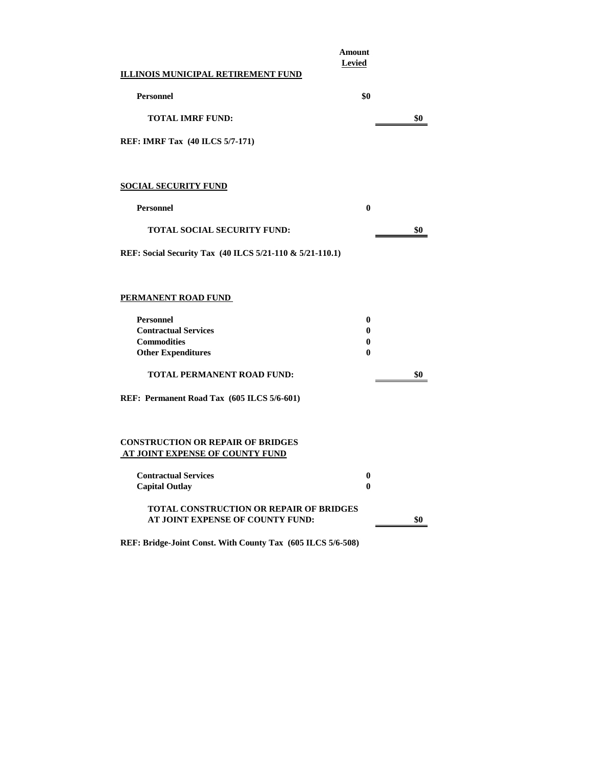|                                                                                    | Amount<br>Levied |     |
|------------------------------------------------------------------------------------|------------------|-----|
| <b>ILLINOIS MUNICIPAL RETIREMENT FUND</b>                                          |                  |     |
| <b>Personnel</b>                                                                   | \$0              |     |
| <b>TOTAL IMRF FUND:</b>                                                            |                  | \$0 |
| REF: IMRF Tax (40 ILCS 5/7-171)                                                    |                  |     |
|                                                                                    |                  |     |
| <b>SOCIAL SECURITY FUND</b>                                                        |                  |     |
| <b>Personnel</b>                                                                   | $\bf{0}$         |     |
| <b>TOTAL SOCIAL SECURITY FUND:</b>                                                 |                  | \$0 |
| REF: Social Security Tax (40 ILCS 5/21-110 & 5/21-110.1)                           |                  |     |
|                                                                                    |                  |     |
| <b>PERMANENT ROAD FUND</b>                                                         |                  |     |
| <b>Personnel</b>                                                                   | 0                |     |
| <b>Contractual Services</b>                                                        | 0                |     |
| <b>Commodities</b><br><b>Other Expenditures</b>                                    | $\bf{0}$<br>0    |     |
| TOTAL PERMANENT ROAD FUND:                                                         |                  | \$0 |
| REF: Permanent Road Tax (605 ILCS 5/6-601)                                         |                  |     |
| <b>CONSTRUCTION OR REPAIR OF BRIDGES</b><br>AT JOINT EXPENSE OF COUNTY FUND        |                  |     |
| <b>Contractual Services</b><br><b>Capital Outlay</b>                               | $\bf{0}$<br>0    |     |
| <b>TOTAL CONSTRUCTION OR REPAIR OF BRIDGES</b><br>AT JOINT EXPENSE OF COUNTY FUND: |                  | \$0 |

**REF: Bridge-Joint Const. With County Tax (605 ILCS 5/6-508)**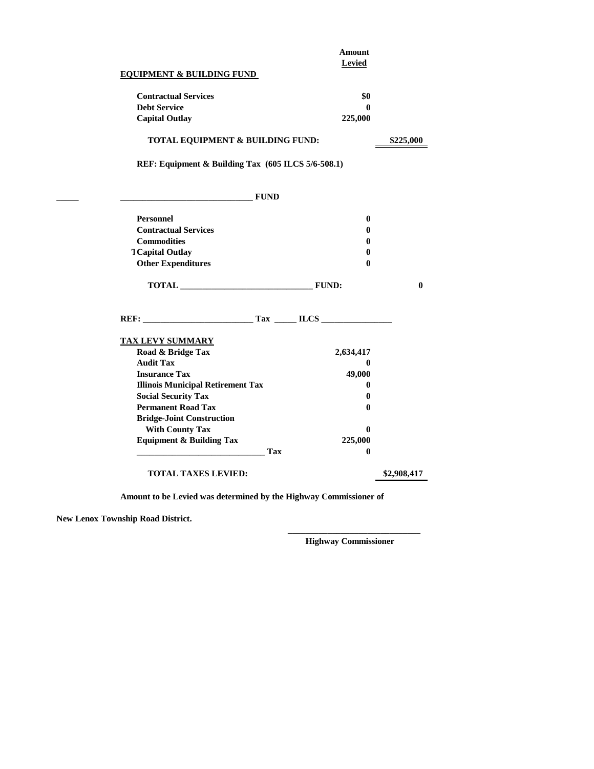|                                                    |            | <b>Amount</b>       |              |
|----------------------------------------------------|------------|---------------------|--------------|
|                                                    |            | <b>Levied</b>       |              |
| <b>EQUIPMENT &amp; BUILDING FUND</b>               |            |                     |              |
| <b>Contractual Services</b>                        |            | \$0                 |              |
| <b>Debt Service</b>                                |            | $\mathbf{0}$        |              |
| <b>Capital Outlay</b>                              |            | 225,000             |              |
| TOTAL EQUIPMENT & BUILDING FUND:                   |            |                     | \$225,000    |
| REF: Equipment & Building Tax (605 ILCS 5/6-508.1) |            |                     |              |
| <b>EUND</b>                                        |            |                     |              |
| <b>Personnel</b>                                   |            | $\bf{0}$            |              |
| <b>Contractual Services</b>                        |            | 0                   |              |
| <b>Commodities</b>                                 |            | 0                   |              |
| <b>TCapital Outlay</b>                             |            | 0                   |              |
| <b>Other Expenditures</b>                          |            | 0                   |              |
| TOTAL FUND:                                        |            |                     | $\mathbf{0}$ |
| REF: Tax ILCS                                      |            |                     |              |
| <b>TAX LEVY SUMMARY</b>                            |            |                     |              |
| Road & Bridge Tax                                  |            | 2,634,417           |              |
| <b>Audit Tax</b>                                   |            | $\bf{0}$            |              |
| <b>Insurance Tax</b>                               |            | 49,000              |              |
| <b>Illinois Municipal Retirement Tax</b>           |            | $\boldsymbol{0}$    |              |
| <b>Social Security Tax</b>                         |            | 0                   |              |
| <b>Permanent Road Tax</b>                          |            | 0                   |              |
| <b>Bridge-Joint Construction</b>                   |            |                     |              |
| <b>With County Tax</b>                             |            | 0                   |              |
| <b>Equipment &amp; Building Tax</b>                | <b>Tax</b> | 225,000<br>$\bf{0}$ |              |
| <b>TOTAL TAXES LEVIED:</b>                         |            |                     | \$2,908,417  |
|                                                    |            |                     |              |

**Amount to be Levied was determined by the Highway Commissioner of**

**New Lenox Township Road District.**

**\_\_\_\_\_\_\_\_\_\_\_\_\_\_\_\_\_\_\_\_\_\_\_\_\_\_\_\_\_\_ Highway Commissioner**